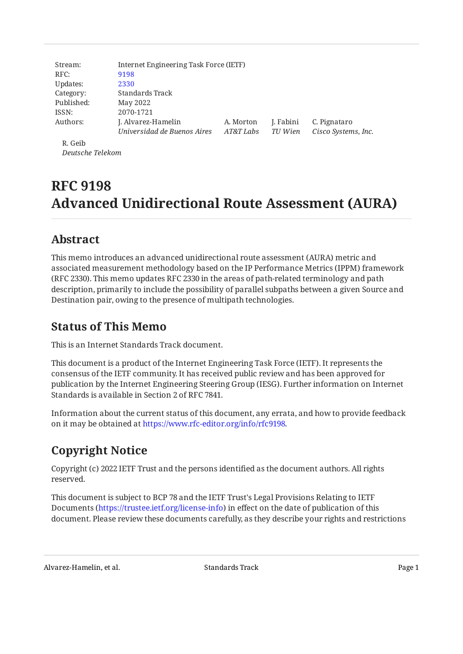| Stream:          | Internet Engineering Task Force (IETF) |           |           |                     |
|------------------|----------------------------------------|-----------|-----------|---------------------|
| RFC:             | 9198                                   |           |           |                     |
| Updates:         | 2330                                   |           |           |                     |
| Category:        | Standards Track                        |           |           |                     |
| Published:       | May 2022                               |           |           |                     |
| ISSN:            | 2070-1721                              |           |           |                     |
| Authors:         | J. Alvarez-Hamelin                     | A. Morton | J. Fabini | C. Pignataro        |
|                  | Universidad de Buenos Aires            | AT&T Labs | TU Wien   | Cisco Systems, Inc. |
| R. Geib          |                                        |           |           |                     |
| Deutsche Telekom |                                        |           |           |                     |

# **RFC 9198 Advanced Unidirectional Route Assessment (AURA)**

# <span id="page-0-0"></span>**[Abstract](#page-0-0)**

This memo introduces an advanced unidirectional route assessment (AURA) metric and associated measurement methodology based on the IP Performance Metrics (IPPM) framework (RFC 2330). This memo updates RFC 2330 in the areas of path-related terminology and path description, primarily to include the possibility of parallel subpaths between a given Source and Destination pair, owing to the presence of multipath technologies.

# <span id="page-0-1"></span>**[Status of This Memo](#page-0-1)**

This is an Internet Standards Track document.

This document is a product of the Internet Engineering Task Force (IETF). It represents the consensus of the IETF community. It has received public review and has been approved for publication by the Internet Engineering Steering Group (IESG). Further information on Internet Standards is available in Section 2 of RFC 7841.

Information about the current status of this document, any errata, and how to provide feedback on it may be obtained at [https://www.rfc-editor.org/info/rfc9198.](https://www.rfc-editor.org/info/rfc9198)

# <span id="page-0-2"></span>**[Copyright Notice](#page-0-2)**

Copyright (c) 2022 IETF Trust and the persons identified as the document authors. All rights reserved.

This document is subject to BCP 78 and the IETF Trust's Legal Provisions Relating to IETF Documents (<https://trustee.ietf.org/license-info>) in effect on the date of publication of this document. Please review these documents carefully, as they describe your rights and restrictions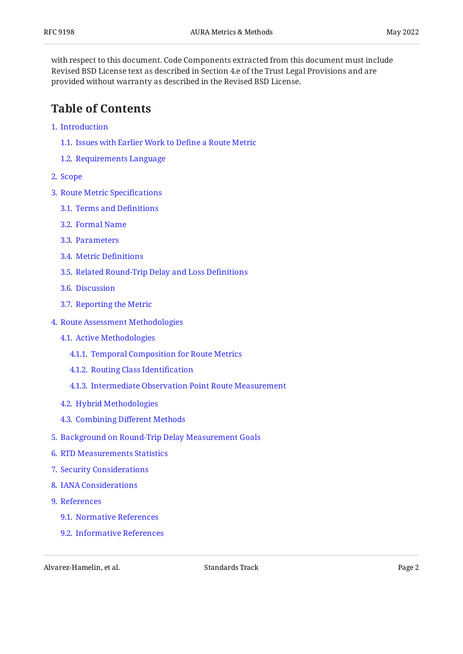with respect to this document. Code Components extracted from this document must include Revised BSD License text as described in Section 4.e of the Trust Legal Provisions and are provided without warranty as described in the Revised BSD License.

# <span id="page-1-0"></span>**[Table of Contents](#page-1-0)**

- [1](#page-2-0). [Introduction](#page-2-0)
	- [1.1.](#page-2-1) [Issues with Earlier Work to De](#page-2-1)fine a Route Metric
	- [1.2.](#page-3-0) [Requirements Language](#page-3-0)
- [2](#page-3-1). [Scope](#page-3-1)
- [3](#page-4-0). [Route Metric Speci](#page-4-0)fications
	- [3.1.](#page-4-1) [Terms and De](#page-4-1)finitions
	- [3.2.](#page-5-0) [Formal Name](#page-5-0)
	- [3.3.](#page-5-1) [Parameters](#page-5-1)
	- [3.4.](#page-6-0) [Metric De](#page-6-0)finitions
	- [3.5.](#page-8-0) [Related Round-Trip Delay and Loss De](#page-8-0)finitions
	- [3.6.](#page-8-1) [Discussion](#page-8-1)
	- [3.7.](#page-8-2) [Reporting the Metric](#page-8-2)
- [4](#page-9-0). [Route Assessment Methodologies](#page-9-0)
	- [4.1.](#page-9-1) [Active Methodologies](#page-9-1)
		- [4.1.1](#page-11-0). [Temporal Composition for Route Metrics](#page-11-0)
		- [4.1.2](#page-12-0). [Routing Class Identi](#page-12-0)fication
		- [4.1.3](#page-12-1). [Intermediate Observation Point Route Measurement](#page-12-1)
	- [4.2.](#page-13-0) [Hybrid Methodologies](#page-13-0)
	- [4.3.](#page-13-1) Combining Diff[erent Methods](#page-13-1)
- [5](#page-14-0). [Background on Round-Trip Delay Measurement Goals](#page-14-0)
- [6](#page-14-1). [RTD Measurements Statistics](#page-14-1)
- [7](#page-16-0). [Security Considerations](#page-16-0)
- [8](#page-17-0). [IANA Considerations](#page-17-0)
- [9](#page-17-1). [References](#page-17-1)
	- [9.1.](#page-17-2) [Normative References](#page-17-2)
	- [9.2.](#page-18-0) [Informative References](#page-18-0)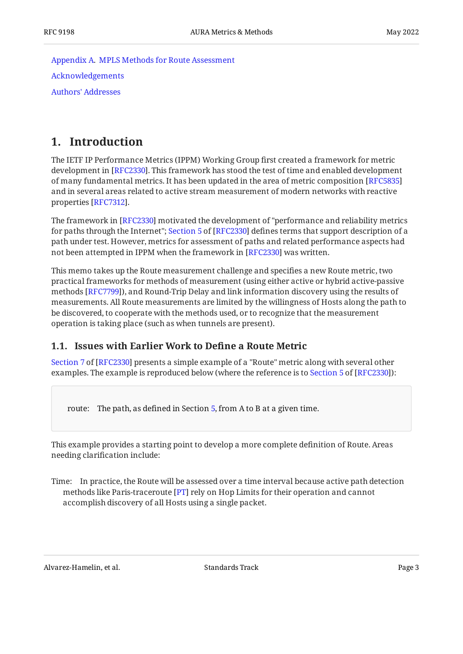[Appendix A.](#page-20-0) [MPLS Methods for Route Assessment](#page-20-0) [Acknowledgements](#page-21-0) [Authors' Addresses](#page-21-1)

### <span id="page-2-0"></span>**[1. Introduction](#page-2-0)**

The IETF IP Performance Metrics (IPPM) Working Group first created a framework for metric development in [RFC2330]. This framework has stood the test of time and enabled development of many fundamental metrics. It has been updated in the area of metric composition [[RFC5835\]](#page-19-0) and in several areas related to active stream measurement of modern networks with reactive properties [RFC7312].

The framework in [RFC2330] motivated the development of "performance and reliability metrics forpaths through the Internet"; Section 5 of [RFC2330] defines terms that support description of a path under test. However, metrics for assessment of paths and related performance aspects had not been attempted in IPPM when the framework in [RFC2330] was written.

This memo takes up the Route measurement challenge and specifies a new Route metric, two practical frameworks for methods of measurement (using either active or hybrid active-passive methods [RFC7799]), and Round-Trip Delay and link information discovery using the results of measurements. All Route measurements are limited by the willingness of Hosts along the path to be discovered, to cooperate with the methods used, or to recognize that the measurement operation is taking place (such as when tunnels are present).

### <span id="page-2-1"></span>**[1.1. Issues with Earlier Work to De](#page-2-1)fine a Route Metric**

[Section 7](https://www.rfc-editor.org/rfc/rfc2330#section-7) of [[RFC2330\]](#page-17-3) presents a simple example of a "Route" metric along with several other examples.The example is reproduced below (where the reference is to Section 5 of [RFC2330]):

route: The path, as defined in Section [5](https://www.rfc-editor.org/rfc/rfc2330#section-5), from A to B at a given time.

This example provides a starting point to develop a more complete definition of Route. Areas needing clarification include:

Time: In practice, the Route will be assessed over a time interval because active path detection methods like Paris-traceroute [\[PT](#page-19-2)] rely on Hop Limits for their operation and cannot accomplish discovery of all Hosts using a single packet.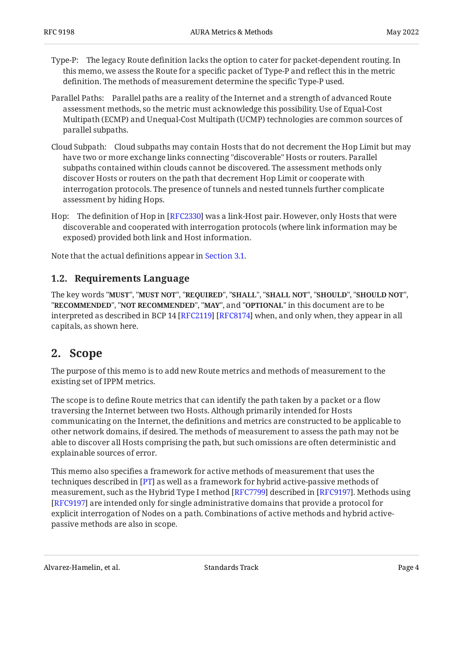- Type-P: The legacy Route definition lacks the option to cater for packet-dependent routing. In this memo, we assess the Route for a specific packet of Type-P and reflect this in the metric definition. The methods of measurement determine the specific Type-P used.
- Parallel Paths: Parallel paths are a reality of the Internet and a strength of advanced Route assessment methods, so the metric must acknowledge this possibility. Use of Equal-Cost Multipath (ECMP) and Unequal-Cost Multipath (UCMP) technologies are common sources of parallel subpaths.
- Cloud Subpath: Cloud subpaths may contain Hosts that do not decrement the Hop Limit but may have two or more exchange links connecting "discoverable" Hosts or routers. Parallel subpaths contained within clouds cannot be discovered. The assessment methods only discover Hosts or routers on the path that decrement Hop Limit or cooperate with interrogation protocols. The presence of tunnels and nested tunnels further complicate assessment by hiding Hops.
- Hop: The definition of Hop in [RFC2330] was a link-Host pair. However, only Hosts that were discoverable and cooperated with interrogation protocols (where link information may be exposed) provided both link and Host information.

<span id="page-3-0"></span>Note that the actual definitions appear in [Section 3.1](#page-4-1).

### **[1.2. Requirements Language](#page-3-0)**

The key words "MUST", "MUST NOT", "REQUIRED", "SHALL", "SHALL NOT", "SHOULD", "SHOULD NOT", "**RECOMMENDED", "NOT RECOMMENDED", "MAY",** and "OPTIONAL" in this document are to be interpreted as described in BCP 14 [RFC2119] [RFC8174] when, and only when, they appear in all capitals, as shown here.

## <span id="page-3-1"></span>**[2. Scope](#page-3-1)**

The purpose of this memo is to add new Route metrics and methods of measurement to the existing set of IPPM metrics.

The scope is to define Route metrics that can identify the path taken by a packet or a flow traversing the Internet between two Hosts. Although primarily intended for Hosts communicating on the Internet, the definitions and metrics are constructed to be applicable to other network domains, if desired. The methods of measurement to assess the path may not be able to discover all Hosts comprising the path, but such omissions are often deterministic and explainable sources of error.

This memo also specifies a framework for active methods of measurement that uses the techniques described in [[PT\]](#page-19-2) as well as a framework for hybrid active-passive methods of measurement, such as the Hybrid Type I method [\[RFC7799](#page-18-1)] described in [[RFC9197\]](#page-18-3). Methods using [[RFC9197\]](#page-18-3) are intended only for single administrative domains that provide a protocol for explicit interrogation of Nodes on a path. Combinations of active methods and hybrid activepassive methods are also in scope.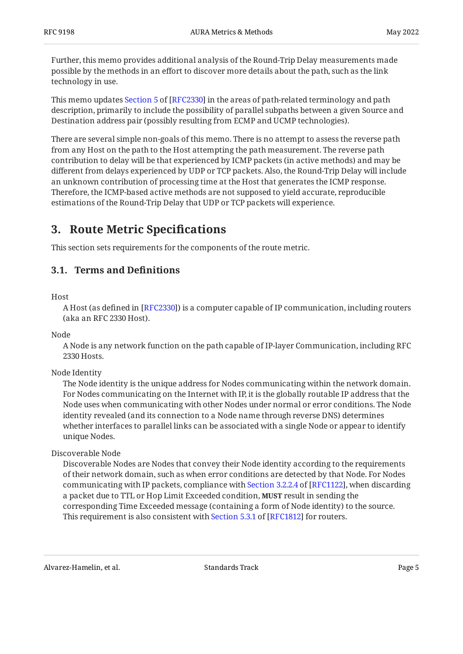Further, this memo provides additional analysis of the Round-Trip Delay measurements made possible by the methods in an effort to discover more details about the path, such as the link technology in use.

Thismemo updates Section 5 of [RFC2330] in the areas of path-related terminology and path description, primarily to include the possibility of parallel subpaths between a given Source and Destination address pair (possibly resulting from ECMP and UCMP technologies).

There are several simple non-goals of this memo. There is no attempt to assess the reverse path from any Host on the path to the Host attempting the path measurement. The reverse path contribution to delay will be that experienced by ICMP packets (in active methods) and may be different from delays experienced by UDP or TCP packets. Also, the Round-Trip Delay will include an unknown contribution of processing time at the Host that generates the ICMP response. Therefore, the ICMP-based active methods are not supposed to yield accurate, reproducible estimations of the Round-Trip Delay that UDP or TCP packets will experience.

# <span id="page-4-0"></span>**[3. Route Metric Speci](#page-4-0)fications**

<span id="page-4-1"></span>This section sets requirements for the components of the route metric.

### **[3.1. Terms and De](#page-4-1)finitions**

Host

A Host (as defined in [\[RFC2330\]](#page-17-3)) is a computer capable of IP communication, including routers (aka an RFC 2330 Host).

Node

A Node is any network function on the path capable of IP-layer Communication, including RFC 2330 Hosts.

Node Identity

The Node identity is the unique address for Nodes communicating within the network domain. For Nodes communicating on the Internet with IP, it is the globally routable IP address that the Node uses when communicating with other Nodes under normal or error conditions. The Node identity revealed (and its connection to a Node name through reverse DNS) determines whether interfaces to parallel links can be associated with a single Node or appear to identify unique Nodes.

Discoverable Node

Discoverable Nodes are Nodes that convey their Node identity according to the requirements of their network domain, such as when error conditions are detected by that Node. For Nodes communicatingwith IP packets, compliance with Section 3.2.2.4 of [RFC1122], when discarding a packet due to TTL or Hop Limit Exceeded condition, **MUST** result in sending the corresponding Time Exceeded message (containing a form of Node identity) to the source. Thisrequirement is also consistent with Section 5.3.1 of [RFC1812] for routers.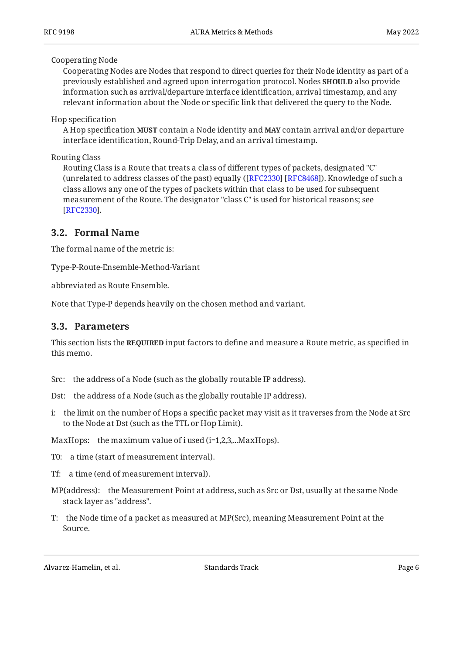#### Cooperating Node

Cooperating Nodes are Nodes that respond to direct queries for their Node identity as part of a previously established and agreed upon interrogation protocol. Nodes **SHOULD** also provide information such as arrival/departure interface identification, arrival timestamp, and any relevant information about the Node or specific link that delivered the query to the Node.

#### Hop specification

A Hop specification **MUST** contain a Node identity and **MAY** contain arrival and/or departure interface identification, Round-Trip Delay, and an arrival timestamp.

#### Routing Class

Routing Class is a Route that treats a class of different types of packets, designated "C" (unrelated to address classes of the past) equally ([ $\rm RFC2330$ ] [ $\rm RFC8468$ ]). Knowledge of such a class allows any one of the types of packets within that class to be used for subsequent measurement of the Route. The designator "class C" is used for historical reasons; see . [[RFC2330\]](#page-17-3)

### <span id="page-5-0"></span>**[3.2. Formal Name](#page-5-0)**

The formal name of the metric is:

Type-P-Route-Ensemble-Method-Variant

abbreviated as Route Ensemble.

<span id="page-5-1"></span>Note that Type-P depends heavily on the chosen method and variant.

#### **[3.3. Parameters](#page-5-1)**

This section lists the **REQUIRED** input factors to define and measure a Route metric, as specified in this memo.

- Src: the address of a Node (such as the globally routable IP address).
- Dst: the address of a Node (such as the globally routable IP address).
- i: the limit on the number of Hops a specific packet may visit as it traverses from the Node at Src to the Node at Dst (such as the TTL or Hop Limit).

MaxHops: the maximum value of i used (i=1,2,3,...MaxHops).

- T0: a time (start of measurement interval).
- Tf: a time (end of measurement interval).
- MP(address): the Measurement Point at address, such as Src or Dst, usually at the same Node stack layer as "address".
- T: the Node time of a packet as measured at MP(Src), meaning Measurement Point at the Source.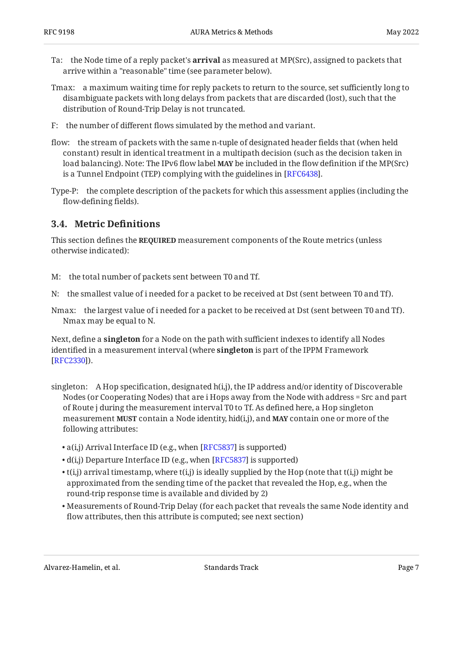- Ta: the Node time of a reply packet's **arrival** as measured at MP(Src), assigned to packets that arrive within a "reasonable" time (see parameter below).
- Tmax: a maximum waiting time for reply packets to return to the source, set sufficiently long to disambiguate packets with long delays from packets that are discarded (lost), such that the distribution of Round-Trip Delay is not truncated.
- F: the number of different flows simulated by the method and variant.
- flow: the stream of packets with the same n-tuple of designated header fields that (when held constant) result in identical treatment in a multipath decision (such as the decision taken in load balancing). Note: The IPv6 flow label **MAY** be included in the flow definition if the MP(Src) is a Tunnel Endpoint (TEP) complying with the guidelines in [RFC6438].
- Type-P: the complete description of the packets for which this assessment applies (including the flow-defining fields).

#### <span id="page-6-0"></span>**[3.4. Metric De](#page-6-0)finitions**

This section defines the **REQUIRED** measurement components of the Route metrics (unless otherwise indicated):

- M: the total number of packets sent between T0 and Tf.
- N: the smallest value of i needed for a packet to be received at Dst (sent between T0 and Tf).
- Nmax: the largest value of i needed for a packet to be received at Dst (sent between T0 and Tf). Nmax may be equal to N.

Next, define a **singleton** for a Node on the path with sufficient indexes to identify all Nodes identified in a measurement interval (where **singleton** is part of the IPPM Framework ). [[RFC2330\]](#page-17-3)

- singleton: A Hop specification, designated h(i,j), the IP address and/or identity of Discoverable Nodes (or Cooperating Nodes) that are i Hops away from the Node with address = Src and part of Route j during the measurement interval T0 to Tf. As defined here, a Hop singleton  $m$ easurement **MUST** contain a Node identity, hid(i,j), and **MAY** contain one or more of the following attributes:
	- $a(i,j)$  Arrival Interface ID (e.g., when [RFC5837] is supported)
	- $\bullet$  d(i,j) Departure Interface ID (e.g., when [\[RFC5837](#page-19-3)] is supported)
	- $\bullet$  t(i,j) arrival timestamp, where t(i,j) is ideally supplied by the Hop (note that t(i,j) might be approximated from the sending time of the packet that revealed the Hop, e.g., when the round-trip response time is available and divided by 2)
	- Measurements of Round-Trip Delay (for each packet that reveals the same Node identity and flow attributes, then this attribute is computed; see next section)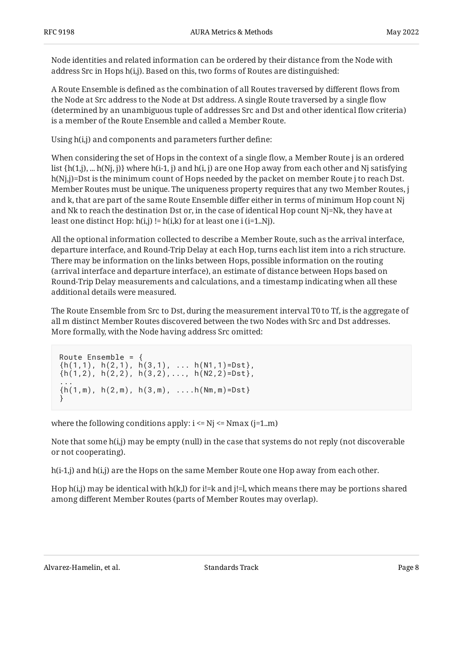Node identities and related information can be ordered by their distance from the Node with address Src in Hops h(i,j). Based on this, two forms of Routes are distinguished:

A Route Ensemble is defined as the combination of all Routes traversed by different flows from the Node at Src address to the Node at Dst address. A single Route traversed by a single flow (determined by an unambiguous tuple of addresses Src and Dst and other identical flow criteria) is a member of the Route Ensemble and called a Member Route.

Using h(i,j) and components and parameters further define:

When considering the set of Hops in the context of a single flow, a Member Route j is an ordered list  $\{h(1,j), \ldots h(Nj, j)\}$  where  $h(i-1, j)$  and  $h(i, j)$  are one Hop away from each other and Nj satisfying h(Nj,j)=Dst is the minimum count of Hops needed by the packet on member Route j to reach Dst. Member Routes must be unique. The uniqueness property requires that any two Member Routes, j and k, that are part of the same Route Ensemble differ either in terms of minimum Hop count Nj and Nk to reach the destination Dst or, in the case of identical Hop count Nj=Nk, they have at least one distinct Hop:  $h(i,j)$  !=  $h(i,k)$  for at least one i (i=1..Nj).

All the optional information collected to describe a Member Route, such as the arrival interface, departure interface, and Round-Trip Delay at each Hop, turns each list item into a rich structure. There may be information on the links between Hops, possible information on the routing (arrival interface and departure interface), an estimate of distance between Hops based on Round-Trip Delay measurements and calculations, and a timestamp indicating when all these additional details were measured.

The Route Ensemble from Src to Dst, during the measurement interval T0 to Tf, is the aggregate of all m distinct Member Routes discovered between the two Nodes with Src and Dst addresses. More formally, with the Node having address Src omitted:

```
Route Ensemble = {
\{h(1,1), h(2,1), h(3,1), \ldots h(N1,1)=Dst\}\{h(1,2), h(2,2), h(3,2), \ldots, h(N2,2)=Dst\},
...
\{h(1,m), h(2,m), h(3,m), \ldots, h(Nm,m)=Dst\}}
```
where the following conditions apply:  $i \le Nj \le N$ max (j=1.m)

Note that some h(i,j) may be empty (null) in the case that systems do not reply (not discoverable or not cooperating).

h(i-1,j) and h(i,j) are the Hops on the same Member Route one Hop away from each other.

Hop h(i,j) may be identical with h(k,l) for i!=k and j!=l, which means there may be portions shared among different Member Routes (parts of Member Routes may overlap).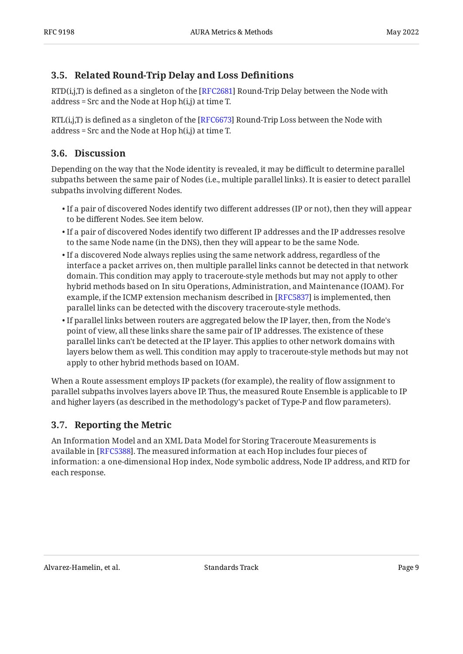### <span id="page-8-0"></span>**[3.5. Related Round-Trip Delay and Loss De](#page-8-0)finitions**

 $\mathrm{RTD}(\mathrm{i},\mathrm{j},\mathrm{T})$  is defined as a singleton of the [\[RFC2681](#page-17-8)] Round-Trip Delay between the Node with address = Src and the Node at Hop  $h(i,j)$  at time T.

RTL(i,j,T) is defined as a singleton of the [RFC6673] Round-Trip Loss between the Node with address = Src and the Node at Hop h(i,j) at time T.

### <span id="page-8-1"></span>**[3.6. Discussion](#page-8-1)**

Depending on the way that the Node identity is revealed, it may be difficult to determine parallel subpaths between the same pair of Nodes (i.e., multiple parallel links). It is easier to detect parallel subpaths involving different Nodes.

- $\bullet$  If a pair of discovered Nodes identify two different addresses (IP or not), then they will appear to be different Nodes. See item below.
- $\bullet$  If a pair of discovered Nodes identify two different IP addresses and the IP addresses resolve to the same Node name (in the DNS), then they will appear to be the same Node.
- $\bullet$  If a discovered Node always replies using the same network address, regardless of the interface a packet arrives on, then multiple parallel links cannot be detected in that network domain. This condition may apply to traceroute-style methods but may not apply to other hybrid methods based on In situ Operations, Administration, and Maintenance (IOAM). For example, if the ICMP extension mechanism described in [\[RFC5837](#page-19-3)] is implemented, then parallel links can be detected with the discovery traceroute-style methods.
- $\bullet$  If parallel links between routers are aggregated below the IP layer, then, from the Node's point of view, all these links share the same pair of IP addresses. The existence of these parallel links can't be detected at the IP layer. This applies to other network domains with layers below them as well. This condition may apply to traceroute-style methods but may not apply to other hybrid methods based on IOAM.

When a Route assessment employs IP packets (for example), the reality of flow assignment to parallel subpaths involves layers above IP. Thus, the measured Route Ensemble is applicable to IP and higher layers (as described in the methodology's packet of Type-P and flow parameters).

### <span id="page-8-2"></span>**[3.7. Reporting the Metric](#page-8-2)**

An Information Model and an XML Data Model for Storing Traceroute Measurements is available in [\[RFC5388\]](#page-17-9). The measured information at each Hop includes four pieces of information: a one-dimensional Hop index, Node symbolic address, Node IP address, and RTD for each response.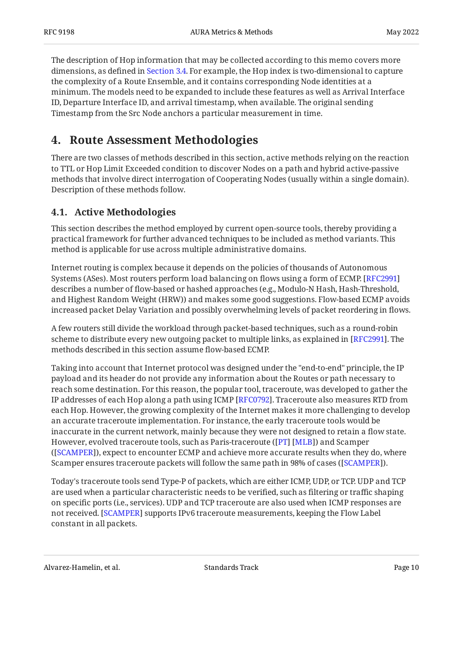The description of Hop information that may be collected according to this memo covers more dimensions, as defined in [Section 3.4](#page-6-0). For example, the Hop index is two-dimensional to capture the complexity of a Route Ensemble, and it contains corresponding Node identities at a minimum. The models need to be expanded to include these features as well as Arrival Interface ID, Departure Interface ID, and arrival timestamp, when available. The original sending Timestamp from the Src Node anchors a particular measurement in time.

# <span id="page-9-0"></span>**[4. Route Assessment Methodologies](#page-9-0)**

There are two classes of methods described in this section, active methods relying on the reaction to TTL or Hop Limit Exceeded condition to discover Nodes on a path and hybrid active-passive methods that involve direct interrogation of Cooperating Nodes (usually within a single domain). Description of these methods follow.

### <span id="page-9-1"></span>**[4.1. Active Methodologies](#page-9-1)**

This section describes the method employed by current open-source tools, thereby providing a practical framework for further advanced techniques to be included as method variants. This method is applicable for use across multiple administrative domains.

Internet routing is complex because it depends on the policies of thousands of Autonomous Systems (ASes). Most routers perform load balancing on flows using a form of ECMP. [[RFC2991\]](#page-19-4) describes a number of flow-based or hashed approaches (e.g., Modulo-N Hash, Hash-Threshold, and Highest Random Weight (HRW)) and makes some good suggestions. Flow-based ECMP avoids increased packet Delay Variation and possibly overwhelming levels of packet reordering in flows.

A few routers still divide the workload through packet-based techniques, such as a round-robin scheme to distribute every new outgoing packet to multiple links, as explained in [RFC2991]. The methods described in this section assume flow-based ECMP.

Taking into account that Internet protocol was designed under the "end-to-end" principle, the IP payload and its header do not provide any information about the Routes or path necessary to reach some destination. For this reason, the popular tool, traceroute, was developed to gather the IP addresses of each Hop along a path using ICMP [RFC0792]. Traceroute also measures RTD from each Hop. However, the growing complexity of the Internet makes it more challenging to develop an accurate traceroute implementation. For instance, the early traceroute tools would be inaccurate in the current network, mainly because they were not designed to retain a flow state. However, evolved traceroute tools, such as Paris-traceroute ([PT] [MLB]) and Scamper ([SCAMPER]), expect to encounter ECMP and achieve more accurate results when they do, where Scamper ensures traceroute packets will follow the same path in 98% of cases ([SCAMPER]).

Today's traceroute tools send Type-P of packets, which are either ICMP, UDP, or TCP. UDP and TCP are used when a particular characteristic needs to be verified, such as filtering or traffic shaping on specific ports (i.e., services). UDP and TCP traceroute are also used when ICMP responses are not received. [SCAMPER] supports IPv6 traceroute measurements, keeping the Flow Label constant in all packets.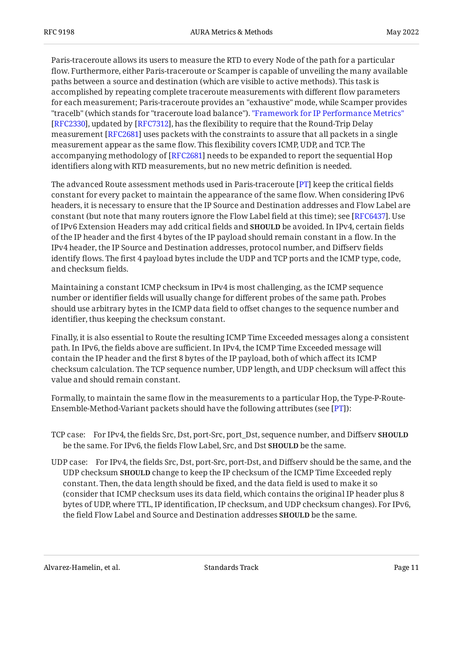Paris-traceroute allows its users to measure the RTD to every Node of the path for a particular flow. Furthermore, either Paris-traceroute or Scamper is capable of unveiling the many available paths between a source and destination (which are visible to active methods). This task is accomplished by repeating complete traceroute measurements with different flow parameters for each measurement; Paris-traceroute provides an "exhaustive" mode, while Scamper provides "tracelb" (which stands for "traceroute load balance"). ["Framework for IP Performance Metrics"](#page-17-3) [[RFC2330\]](#page-17-3), updated by [RFC7312], has the flexibility to require that the Round-Trip Delay measurement [RFC2681] uses packets with the constraints to assure that all packets in a single measurement appear as the same flow. This flexibility covers ICMP, UDP, and TCP. The accompanying methodology of [RFC2681] needs to be expanded to report the sequential Hop identifiers along with RTD measurements, but no new metric definition is needed.

The advanced Route assessment methods used in Paris-traceroute [PT] keep the critical fields constant for every packet to maintain the appearance of the same flow. When considering IPv6 headers, it is necessary to ensure that the IP Source and Destination addresses and Flow Label are constant (but note that many routers ignore the Flow Label field at this time); see [RFC6437]. Use of IPv6 Extension Headers may add critical fields and **SHOULD** be avoided. In IPv4, certain fields of the IP header and the first 4 bytes of the IP payload should remain constant in a flow. In the IPv4 header, the IP Source and Destination addresses, protocol number, and Diffserv fields identify flows. The first 4 payload bytes include the UDP and TCP ports and the ICMP type, code, and checksum fields.

Maintaining a constant ICMP checksum in IPv4 is most challenging, as the ICMP sequence number or identifier fields will usually change for different probes of the same path. Probes should use arbitrary bytes in the ICMP data field to offset changes to the sequence number and identifier, thus keeping the checksum constant.

Finally, it is also essential to Route the resulting ICMP Time Exceeded messages along a consistent path. In IPv6, the fields above are sufficient. In IPv4, the ICMP Time Exceeded message will contain the IP header and the first 8 bytes of the IP payload, both of which affect its ICMP checksum calculation. The TCP sequence number, UDP length, and UDP checksum will affect this value and should remain constant.

Formally, to maintain the same flow in the measurements to a particular Hop, the Type-P-Route-Ensemble-Method-Variant packets should have the following attributes (see [PT]):

- TCP case: For IPv4, the fields Src, Dst, port-Src, port\_Dst, sequence number, and Diffserv **SHOULD** be the same. For IPv6, the fields Flow Label, Src, and Dst **SHOULD** be the same.
- UDP case: For IPv4, the fields Src, Dst, port-Src, port-Dst, and Diffserv should be the same, and the UDP checksum **SHOULD** change to keep the IP checksum of the ICMP Time Exceeded reply constant. Then, the data length should be fixed, and the data field is used to make it so (consider that ICMP checksum uses its data field, which contains the original IP header plus 8 bytes of UDP, where TTL, IP identification, IP checksum, and UDP checksum changes). For IPv6, the field Flow Label and Source and Destination addresses **SHOULD** be the same.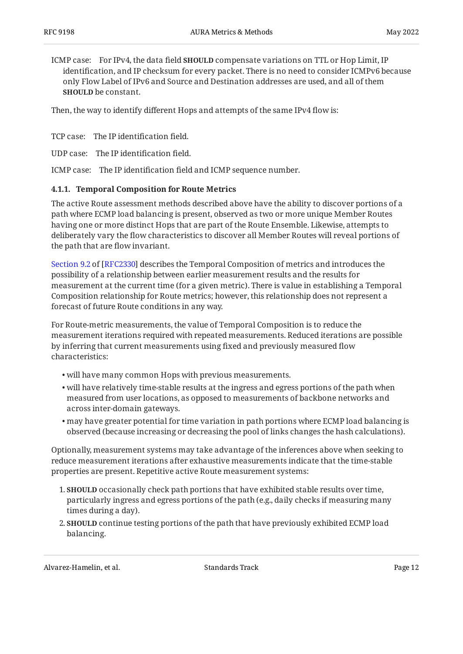ICMP case: For IPv4, the data field **SHOULD** compensate variations on TTL or Hop Limit, IP identification, and IP checksum for every packet. There is no need to consider ICMPv6 because only Flow Label of IPv6 and Source and Destination addresses are used, and all of them **SHOULD** be constant.

Then, the way to identify different Hops and attempts of the same IPv4 flow is:

TCP case: The IP identification field.

UDP case: The IP identification field.

<span id="page-11-0"></span>ICMP case: The IP identification field and ICMP sequence number.

#### **[4.1.1. Temporal Composition for Route Metrics](#page-11-0)**

The active Route assessment methods described above have the ability to discover portions of a path where ECMP load balancing is present, observed as two or more unique Member Routes having one or more distinct Hops that are part of the Route Ensemble. Likewise, attempts to deliberately vary the flow characteristics to discover all Member Routes will reveal portions of the path that are flow invariant.

[Section 9.2](https://www.rfc-editor.org/rfc/rfc2330#section-9.2) of [\[RFC2330\]](#page-17-3) describes the Temporal Composition of metrics and introduces the possibility of a relationship between earlier measurement results and the results for measurement at the current time (for a given metric). There is value in establishing a Temporal Composition relationship for Route metrics; however, this relationship does not represent a forecast of future Route conditions in any way.

For Route-metric measurements, the value of Temporal Composition is to reduce the measurement iterations required with repeated measurements. Reduced iterations are possible by inferring that current measurements using fixed and previously measured flow characteristics:

- will have many common Hops with previous measurements. •
- $\bullet$  will have relatively time-stable results at the ingress and egress portions of the path when measured from user locations, as opposed to measurements of backbone networks and across inter-domain gateways.
- may have greater potential for time variation in path portions where ECMP load balancing is observed (because increasing or decreasing the pool of links changes the hash calculations).

Optionally, measurement systems may take advantage of the inferences above when seeking to reduce measurement iterations after exhaustive measurements indicate that the time-stable properties are present. Repetitive active Route measurement systems:

- 1. **SHOULD** occasionally check path portions that have exhibited stable results over time, particularly ingress and egress portions of the path (e.g., daily checks if measuring many times during a day).
- 2. **SHOULD** continue testing portions of the path that have previously exhibited ECMP load balancing.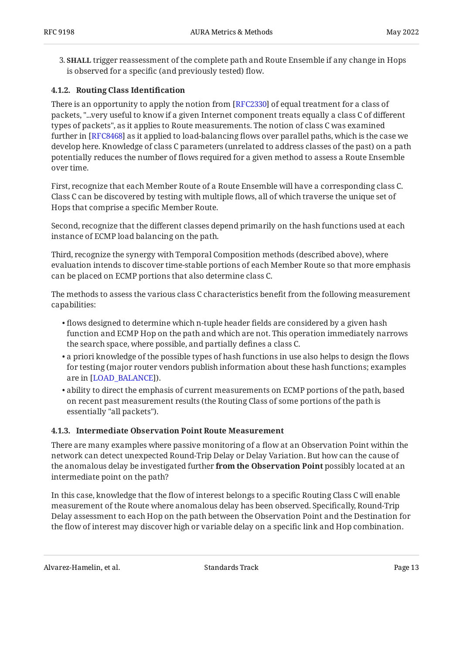3. **SHALL** trigger reassessment of the complete path and Route Ensemble if any change in Hops is observed for a specific (and previously tested) flow.

#### <span id="page-12-0"></span>**[4.1.2. Routing Class Identi](#page-12-0)fication**

There is an opportunity to apply the notion from [RFC2330] of equal treatment for a class of packets, "...very useful to know if a given Internet component treats equally a class C of different types of packets", as it applies to Route measurements. The notion of class C was examined further in [RFC8468] as it applied to load-balancing flows over parallel paths, which is the case we develop here. Knowledge of class C parameters (unrelated to address classes of the past) on a path potentially reduces the number of flows required for a given method to assess a Route Ensemble over time.

First, recognize that each Member Route of a Route Ensemble will have a corresponding class C. Class C can be discovered by testing with multiple flows, all of which traverse the unique set of Hops that comprise a specific Member Route.

Second, recognize that the different classes depend primarily on the hash functions used at each instance of ECMP load balancing on the path.

Third, recognize the synergy with Temporal Composition methods (described above), where evaluation intends to discover time-stable portions of each Member Route so that more emphasis can be placed on ECMP portions that also determine class C.

The methods to assess the various class C characteristics benefit from the following measurement capabilities:

- $\bullet$  flows designed to determine which n-tuple header fields are considered by a given hash function and ECMP Hop on the path and which are not. This operation immediately narrows the search space, where possible, and partially defines a class C.
- $\bullet$  a priori knowledge of the possible types of hash functions in use also helps to design the flows for testing (major router vendors publish information about these hash functions; examples are in [LOAD\_BALANCE]).
- $\bullet$  ability to direct the emphasis of current measurements on ECMP portions of the path, based on recent past measurement results (the Routing Class of some portions of the path is essentially "all packets").

#### <span id="page-12-1"></span>**[4.1.3. Intermediate Observation Point Route Measurement](#page-12-1)**

There are many examples where passive monitoring of a flow at an Observation Point within the network can detect unexpected Round-Trip Delay or Delay Variation. But how can the cause of the anomalous delay be investigated further **from the Observation Point** possibly located at an intermediate point on the path?

In this case, knowledge that the flow of interest belongs to a specific Routing Class C will enable measurement of the Route where anomalous delay has been observed. Specifically, Round-Trip Delay assessment to each Hop on the path between the Observation Point and the Destination for the flow of interest may discover high or variable delay on a specific link and Hop combination.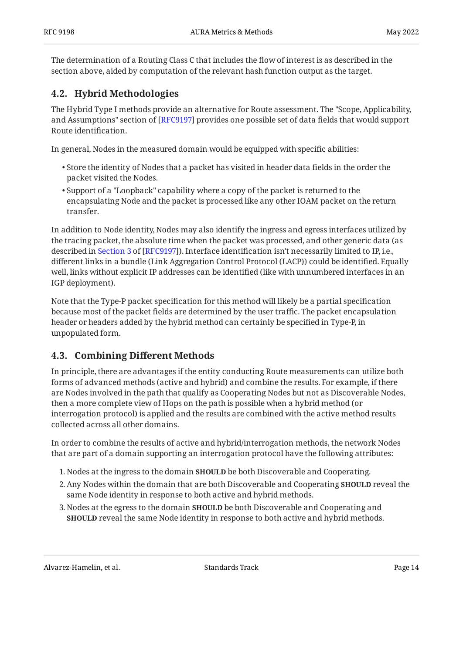The determination of a Routing Class C that includes the flow of interest is as described in the section above, aided by computation of the relevant hash function output as the target.

### <span id="page-13-0"></span>**[4.2. Hybrid Methodologies](#page-13-0)**

The Hybrid Type I methods provide an alternative for Route assessment. The "Scope, Applicability, and Assumptions" section of [[RFC9197\]](#page-18-3) provides one possible set of data fields that would support Route identification.

In general, Nodes in the measured domain would be equipped with specific abilities:

- $\bullet$  Store the identity of Nodes that a packet has visited in header data fields in the order the packet visited the Nodes.
- $\bullet$  Support of a "Loopback" capability where a copy of the packet is returned to the encapsulating Node and the packet is processed like any other IOAM packet on the return transfer.

In addition to Node identity, Nodes may also identify the ingress and egress interfaces utilized by the tracing packet, the absolute time when the packet was processed, and other generic data (as describedin Section 3 of [RFC9197]). Interface identification isn't necessarily limited to IP, i.e., different links in a bundle (Link Aggregation Control Protocol (LACP)) could be identified. Equally well, links without explicit IP addresses can be identified (like with unnumbered interfaces in an IGP deployment).

Note that the Type-P packet specification for this method will likely be a partial specification because most of the packet fields are determined by the user traffic. The packet encapsulation header or headers added by the hybrid method can certainly be specified in Type-P, in unpopulated form.

### <span id="page-13-1"></span>**[4.3. C](#page-13-1)ombining Diff[erent Methods](#page-13-1)**

In principle, there are advantages if the entity conducting Route measurements can utilize both forms of advanced methods (active and hybrid) and combine the results. For example, if there are Nodes involved in the path that qualify as Cooperating Nodes but not as Discoverable Nodes, then a more complete view of Hops on the path is possible when a hybrid method (or interrogation protocol) is applied and the results are combined with the active method results collected across all other domains.

In order to combine the results of active and hybrid/interrogation methods, the network Nodes that are part of a domain supporting an interrogation protocol have the following attributes:

- 1. Nodes at the ingress to the domain **SHOULD** be both Discoverable and Cooperating.
- 2. Any Nodes within the domain that are both Discoverable and Cooperating **SHOULD** reveal the same Node identity in response to both active and hybrid methods.
- 3. Nodes at the egress to the domain **SHOULD** be both Discoverable and Cooperating and **SHOULD** reveal the same Node identity in response to both active and hybrid methods.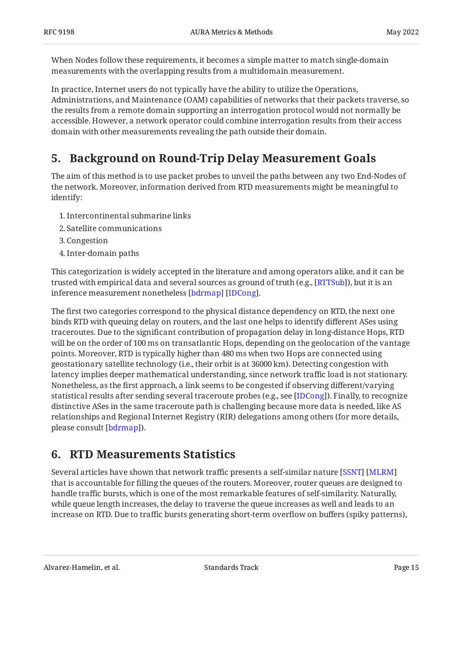When Nodes follow these requirements, it becomes a simple matter to match single-domain measurements with the overlapping results from a multidomain measurement.

In practice, Internet users do not typically have the ability to utilize the Operations, Administrations, and Maintenance (OAM) capabilities of networks that their packets traverse, so the results from a remote domain supporting an interrogation protocol would not normally be accessible. However, a network operator could combine interrogation results from their access domain with other measurements revealing the path outside their domain.

# <span id="page-14-0"></span>**[5. Background on Round-Trip Delay Measurement Goals](#page-14-0)**

The aim of this method is to use packet probes to unveil the paths between any two End-Nodes of the network. Moreover, information derived from RTD measurements might be meaningful to identify:

- 1. Intercontinental submarine links
- 2. Satellite communications
- 3. Congestion
- 4. Inter-domain paths

This categorization is widely accepted in the literature and among operators alike, and it can be trusted with empirical data and several sources as ground of truth (e.g., [[RTTSub](#page-20-2)]), but it is an inference measurement nonetheless [bdrmap] [IDCong].

The first two categories correspond to the physical distance dependency on RTD, the next one binds RTD with queuing delay on routers, and the last one helps to identify different ASes using traceroutes. Due to the significant contribution of propagation delay in long-distance Hops, RTD will be on the order of 100 ms on transatlantic Hops, depending on the geolocation of the vantage points. Moreover, RTD is typically higher than 480 ms when two Hops are connected using geostationary satellite technology (i.e., their orbit is at 36000 km). Detecting congestion with latency implies deeper mathematical understanding, since network traffic load is not stationary. Nonetheless, as the first approach, a link seems to be congested if observing different/varying statistical results after sending several traceroute probes (e.g., see [IDCong]). Finally, to recognize distinctive ASes in the same traceroute path is challenging because more data is needed, like AS relationships and Regional Internet Registry (RIR) delegations among others (for more details, please consult <u>[bdrmap]</u>).

# <span id="page-14-1"></span>**[6. RTD Measurements Statistics](#page-14-1)**

Several articles have shown that network traffic presents a self-similar nature [[SSNT\]](#page-20-3) [[MLRM\]](#page-19-6) that is accountable for filling the queues of the routers. Moreover, router queues are designed to handle traffic bursts, which is one of the most remarkable features of self-similarity. Naturally, while queue length increases, the delay to traverse the queue increases as well and leads to an increase on RTD. Due to traffic bursts generating short-term overflow on buffers (spiky patterns),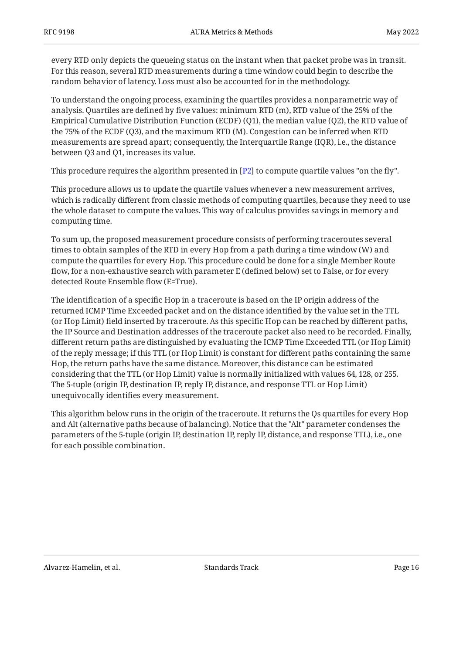every RTD only depicts the queueing status on the instant when that packet probe was in transit. For this reason, several RTD measurements during a time window could begin to describe the random behavior of latency. Loss must also be accounted for in the methodology.

To understand the ongoing process, examining the quartiles provides a nonparametric way of analysis. Quartiles are defined by five values: minimum RTD (m), RTD value of the 25% of the Empirical Cumulative Distribution Function (ECDF) (Q1), the median value (Q2), the RTD value of the 75% of the ECDF (Q3), and the maximum RTD (M). Congestion can be inferred when RTD measurements are spread apart; consequently, the Interquartile Range (IQR), i.e., the distance between Q3 and Q1, increases its value.

This procedure requires the algorithm presented in [[P2](#page-19-7)] to compute quartile values "on the fly".  $\,$ 

This procedure allows us to update the quartile values whenever a new measurement arrives, which is radically different from classic methods of computing quartiles, because they need to use the whole dataset to compute the values. This way of calculus provides savings in memory and computing time.

To sum up, the proposed measurement procedure consists of performing traceroutes several times to obtain samples of the RTD in every Hop from a path during a time window (W) and compute the quartiles for every Hop. This procedure could be done for a single Member Route flow, for a non-exhaustive search with parameter E (defined below) set to False, or for every detected Route Ensemble flow (E=True).

The identification of a specific Hop in a traceroute is based on the IP origin address of the returned ICMP Time Exceeded packet and on the distance identified by the value set in the TTL (or Hop Limit) field inserted by traceroute. As this specific Hop can be reached by different paths, the IP Source and Destination addresses of the traceroute packet also need to be recorded. Finally, different return paths are distinguished by evaluating the ICMP Time Exceeded TTL (or Hop Limit) of the reply message; if this TTL (or Hop Limit) is constant for different paths containing the same Hop, the return paths have the same distance. Moreover, this distance can be estimated considering that the TTL (or Hop Limit) value is normally initialized with values 64, 128, or 255. The 5-tuple (origin IP, destination IP, reply IP, distance, and response TTL or Hop Limit) unequivocally identifies every measurement.

This algorithm below runs in the origin of the traceroute. It returns the Qs quartiles for every Hop and Alt (alternative paths because of balancing). Notice that the "Alt" parameter condenses the parameters of the 5-tuple (origin IP, destination IP, reply IP, distance, and response TTL), i.e., one for each possible combination.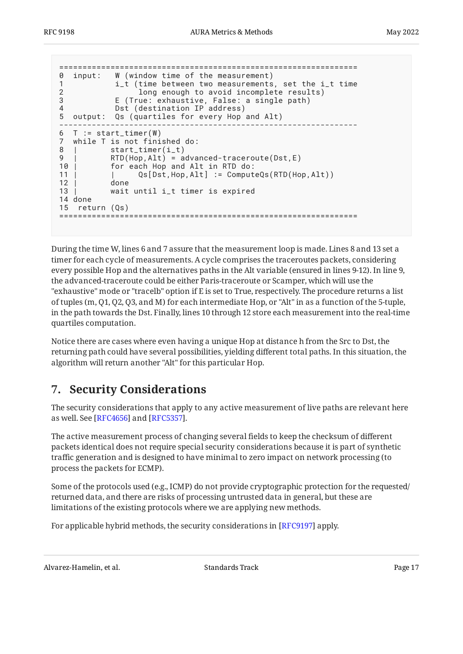```
================================================================
0 input: W (window time of the measurement)
1 i_t (time between two measurements, set the i_t time
2 long enough to avoid incomplete results)
3 E (True: exhaustive, False: a single path)
4 Dst (destination IP address)
5 output: Qs (quartiles for every Hop and Alt)
----------------------------------------------------------------
6 T := start_timer(W)
7 while T is not finished do:
8 | start_timer(i_t)
9 | RTD(Hop, Alt) = advanced-traceroute(Dst, E)<br>10 | for each Hop and Alt in RTD do:
          for each Hop and Alt in RTD do:
11 | | Qs[Dst,Hop,Alt] := ComputeQs(RTD(Hop,Alt))
12 | done
13 | wait until i_t timer is expired
14 done
15 return (Qs)
================================================================
```
During the time W, lines 6 and 7 assure that the measurement loop is made. Lines 8 and 13 set a timer for each cycle of measurements. A cycle comprises the traceroutes packets, considering every possible Hop and the alternatives paths in the Alt variable (ensured in lines 9-12). In line 9, the advanced-traceroute could be either Paris-traceroute or Scamper, which will use the "exhaustive" mode or "tracelb" option if E is set to True, respectively. The procedure returns a list of tuples (m, Q1, Q2, Q3, and M) for each intermediate Hop, or "Alt" in as a function of the 5-tuple, in the path towards the Dst. Finally, lines 10 through 12 store each measurement into the real-time quartiles computation.

Notice there are cases where even having a unique Hop at distance h from the Src to Dst, the returning path could have several possibilities, yielding different total paths. In this situation, the algorithm will return another "Alt" for this particular Hop.

# <span id="page-16-0"></span>**[7. Security Considerations](#page-16-0)**

The security considerations that apply to any active measurement of live paths are relevant here as well. See [RFC4656] and [RFC5357].

The active measurement process of changing several fields to keep the checksum of different packets identical does not require special security considerations because it is part of synthetic traffic generation and is designed to have minimal to zero impact on network processing (to process the packets for ECMP).

Some of the protocols used (e.g., ICMP) do not provide cryptographic protection for the requested/ returned data, and there are risks of processing untrusted data in general, but these are limitations of the existing protocols where we are applying new methods.

For applicable hybrid methods, the security considerations in [\[RFC9197\]](#page-18-3) apply.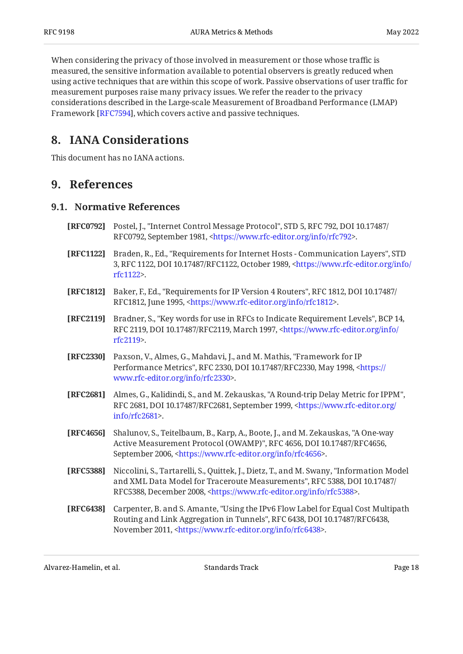When considering the privacy of those involved in measurement or those whose traffic is measured, the sensitive information available to potential observers is greatly reduced when using active techniques that are within this scope of work. Passive observations of user traffic for measurement purposes raise many privacy issues. We refer the reader to the privacy considerations described in the Large-scale Measurement of Broadband Performance (LMAP) Framework [\[RFC7594\]](#page-19-9), which covers active and passive techniques.

### <span id="page-17-0"></span>**[8. IANA Considerations](#page-17-0)**

<span id="page-17-1"></span>This document has no IANA actions.

### <span id="page-17-2"></span>**[9. References](#page-17-1)**

#### **[9.1. Normative References](#page-17-2)**

- <span id="page-17-10"></span>**[RFC0792]** Postel, J., "Internet Control Message Protocol", STD 5, RFC 792, DOI 10.17487/ RFC0792, September 1981, [<https://www.rfc-editor.org/info/rfc792>](https://www.rfc-editor.org/info/rfc792).
- <span id="page-17-5"></span>**[RFC1122]** Braden, R., Ed., "Requirements for Internet Hosts - Communication Layers", STD 3, RFC 1122, DOI 10.17487/RFC1122, October 1989, [<https://www.rfc-editor.org/info/](https://www.rfc-editor.org/info/rfc1122) . [rfc1122](https://www.rfc-editor.org/info/rfc1122)>
- <span id="page-17-6"></span>**[RFC1812]** Baker, F., Ed., "Requirements for IP Version 4 Routers", RFC 1812, DOI 10.17487/ RFC1812, June 1995, [<https://www.rfc-editor.org/info/rfc1812>](https://www.rfc-editor.org/info/rfc1812).
- <span id="page-17-4"></span>**[RFC2119]** Bradner, S., "Key words for use in RFCs to Indicate Requirement Levels", BCP 14, RFC 2119, DOI 10.17487/RFC2119, March 1997, [<https://www.rfc-editor.org/info/](https://www.rfc-editor.org/info/rfc2119) . [rfc2119](https://www.rfc-editor.org/info/rfc2119)>
- <span id="page-17-3"></span>**[RFC2330]** Paxson, V., Almes, G., Mahdavi, J., and M. Mathis, "Framework for IP Performance Metrics", RFC 2330, DOI 10.17487/RFC2330, May 1998, [<https://](https://www.rfc-editor.org/info/rfc2330) . [www.rfc-editor.org/info/rfc2330>](https://www.rfc-editor.org/info/rfc2330)
- <span id="page-17-8"></span>**[RFC2681]** Almes, G., Kalidindi, S., and M. Zekauskas, "A Round-trip Delay Metric for IPPM", RFC 2681, DOI 10.17487/RFC2681, September 1999, [<https://www.rfc-editor.org/](https://www.rfc-editor.org/info/rfc2681) . [info/rfc2681>](https://www.rfc-editor.org/info/rfc2681)
- <span id="page-17-11"></span>**[RFC4656]** Shalunov, S., Teitelbaum, B., Karp, A., Boote, J., and M. Zekauskas, "A One-way Active Measurement Protocol (OWAMP)", RFC 4656, DOI 10.17487/RFC4656, September 2006, <https://www.rfc-editor.org/info/rfc4656>.
- <span id="page-17-9"></span>**[RFC5388]** Niccolini, S., Tartarelli, S., Quittek, J., Dietz, T., and M. Swany, "Information Model and XML Data Model for Traceroute Measurements", RFC 5388, DOI 10.17487/ RFC5388, December 2008, <https://www.rfc-editor.org/info/rfc5388>.
- <span id="page-17-7"></span>**[RFC6438]** Carpenter, B. and S. Amante, "Using the IPv6 Flow Label for Equal Cost Multipath Routing and Link Aggregation in Tunnels", RFC 6438, DOI 10.17487/RFC6438, November 2011, [<https://www.rfc-editor.org/info/rfc6438](https://www.rfc-editor.org/info/rfc6438)>.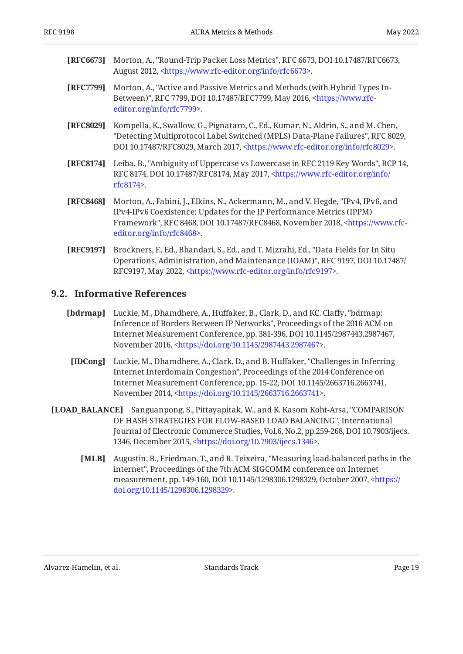- <span id="page-18-5"></span>**[RFC6673]** Morton, A., "Round-Trip Packet Loss Metrics", RFC 6673, DOI 10.17487/RFC6673, August 2012, <https://www.rfc-editor.org/info/rfc6673>.
- <span id="page-18-1"></span>**[RFC7799]** , Morton, A. "Active and Passive Metrics and Methods (with Hybrid Types In-Between)", RFC 7799, DOI 10.17487/RFC7799, May 2016, [<https://www.rfc-](https://www.rfc-editor.org/info/rfc7799). [editor.org/info/rfc7799](https://www.rfc-editor.org/info/rfc7799)>
- <span id="page-18-10"></span>**[RFC8029]** Kompella, K., Swallow, G., Pignataro, C., Ed., Kumar, N., Aldrin, S., and M. Chen, "Detecting Multiprotocol Label Switched (MPLS) Data-Plane Failures", RFC 8029, DOI 10.17487/RFC8029, March 2017, <https://www.rfc-editor.org/info/rfc8029>.
- <span id="page-18-2"></span>**[RFC8174]** Leiba, B., "Ambiguity of Uppercase vs Lowercase in RFC 2119 Key Words", BCP 14, RFC 8174, DOI 10.17487/RFC8174, May 2017, <[https://www.rfc-editor.org/info/](https://www.rfc-editor.org/info/rfc8174) . [rfc8174](https://www.rfc-editor.org/info/rfc8174)>
- <span id="page-18-4"></span>**[RFC8468]** Morton, A., Fabini, J., Elkins, N., Ackermann, M., and V. Hegde, "IPv4, IPv6, and Framework", RFC 8468, DOI 10.17487/RFC8468, November 2018, [<https://www.rfc-](https://www.rfc-editor.org/info/rfc8468). [editor.org/info/rfc8468](https://www.rfc-editor.org/info/rfc8468)> IPv4-IPv6 Coexistence: Updates for the IP Performance Metrics (IPPM)
- <span id="page-18-3"></span>**[RFC9197]** Brockners, F., Ed., Bhandari, S., Ed., and T. Mizrahi, Ed., "Data Fields for In Situ Operations, Administration, and Maintenance (IOAM)", RFC 9197, DOI 10.17487/ RFC9197, May 2022, <https://www.rfc-editor.org/info/rfc9197>.

#### <span id="page-18-0"></span>**[9.2. Informative References](#page-18-0)**

- <span id="page-18-8"></span>**[bdrmap]** Luckie, M., Dhamdhere, A., Huffaker, B., Clark, D., and KC. Claffy, "bdrmap: Inference of Borders Between IP Networks", Proceedings of the 2016 ACM on , , Internet Measurement Conference, pp. 381-396 DOI 10.1145/2987443.2987467 November 2016, <https://doi.org/10.1145/2987443.2987467>.
- <span id="page-18-9"></span>**[IDCong]** Luckie, M., Dhamdhere, A., Clark, D., and B. Huffaker, "Challenges in Inferring Internet Interdomain Congestion", Proceedings of the 2014 Conference on , , Internet Measurement Conference, pp. 15-22 DOI 10.1145/2663716.2663741 November 2014, <https://doi.org/10.1145/2663716.2663741>.
- <span id="page-18-7"></span><span id="page-18-6"></span>**[LOAD\_BALANCE]** Sanguanpong, S., Pittayapitak, W., and K. Kasom Koht-Arsa, "COMPARISON , OF HASH STRATEGIES FOR FLOW-BASED LOAD BALANCING" International Journal of Electronic Commerce Studies, Vol.6, No.2, pp.259-268, DOI 10.7903/ijecs. 1346, December 2015, <https://doi.org/10.7903/ijecs.1346>.
	- **[MLB]** Augustin, B., Friedman, T., and R. Teixeira, "Measuring load-balanced paths in the internet", Proceedings of the 7th ACM SIGCOMM conference on Internet measurement, pp. 149-160, DOI 10.1145/1298306.1298329, October 2007, [<https://](https://doi.org/10.1145/1298306.1298329) . [doi.org/10.1145/1298306.1298329](https://doi.org/10.1145/1298306.1298329)>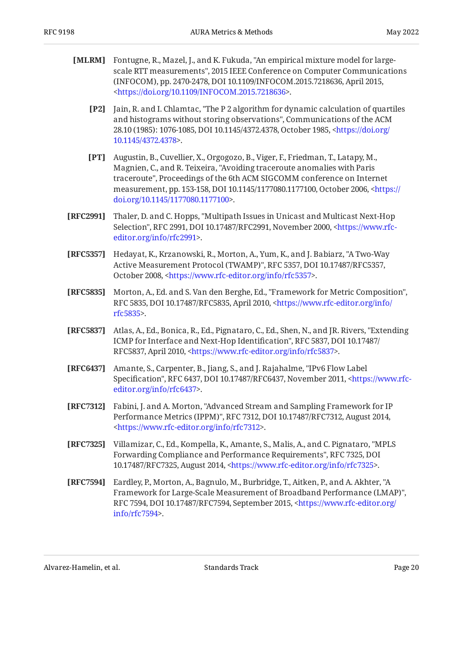- <span id="page-19-7"></span><span id="page-19-6"></span>**[MLRM]** Fontugne, R., Mazel, J., and K. Fukuda, "An empirical mixture model for largescale RTT measurements", 2015 IEEE Conference on Computer Communications (INFOCOM), pp. 2470-2478, DOI 10.1109/INFOCOM.2015.7218636, April 2015, . [<https://doi.org/10.1109/INFOCOM.2015.7218636](https://doi.org/10.1109/INFOCOM.2015.7218636)>
	- **[P2]** Jain, R. and I. Chlamtac, "The P 2 algorithm for dynamic calculation of quartiles and histograms without storing observations", Communications of the ACM 28.10 (1985): 1076-1085, DOI 10.1145/4372.4378, October 1985, [<https://doi.org/](https://doi.org/10.1145/4372.4378) . [10.1145/4372.4378>](https://doi.org/10.1145/4372.4378)
	- **[PT]** Augustin, B., Cuvellier, X., Orgogozo, B., Viger, F., Friedman, T., Latapy, M., Magnien, C., and R. Teixeira, "Avoiding traceroute anomalies with Paris traceroute", Proceedings of the 6th ACM SIGCOMM conference on Internet measurement, pp. 153-158, DOI 10.1145/1177080.1177100, October 2006, [<https://](https://doi.org/10.1145/1177080.1177100) . [doi.org/10.1145/1177080.1177100](https://doi.org/10.1145/1177080.1177100)>
- <span id="page-19-4"></span><span id="page-19-2"></span>**[RFC2991]** Thaler, D. and C. Hopps, "Multipath Issues in Unicast and Multicast Next-Hop Selection", RFC 2991, DOI 10.17487/RFC2991, November 2000, [<https://www.rfc-](https://www.rfc-editor.org/info/rfc2991). [editor.org/info/rfc2991](https://www.rfc-editor.org/info/rfc2991)>
- <span id="page-19-8"></span>**[RFC5357]** Hedayat, K., Krzanowski, R., Morton, A., Yum, K., and J. Babiarz, "A Two-Way Active Measurement Protocol (TWAMP)", RFC 5357, DOI 10.17487/RFC5357, October 2008, [<https://www.rfc-editor.org/info/rfc5357](https://www.rfc-editor.org/info/rfc5357)>.
- <span id="page-19-0"></span>**[RFC5835]** Morton, A., Ed. and S. Van den Berghe, Ed., "Framework for Metric Composition", RFC 5835, DOI 10.17487/RFC5835, April 2010, [<https://www.rfc-editor.org/info/](https://www.rfc-editor.org/info/rfc5835) . [rfc5835](https://www.rfc-editor.org/info/rfc5835)>
- <span id="page-19-3"></span>**[RFC5837]** Atlas, A., Ed., Bonica, R., Ed., Pignataro, C., Ed., Shen, N., and JR. Rivers, "Extending ICMP for Interface and Next-Hop Identification", RFC 5837, DOI 10.17487/ RFC5837, April 2010, <https://www.rfc-editor.org/info/rfc5837>.
- <span id="page-19-5"></span>**[RFC6437]** Amante, S., Carpenter, B., Jiang, S., and J. Rajahalme, "IPv6 Flow Label Specification", RFC 6437, DOI 10.17487/RFC6437, November 2011, <[https://www.rfc-](https://www.rfc-editor.org/info/rfc6437). [editor.org/info/rfc6437](https://www.rfc-editor.org/info/rfc6437)>
- <span id="page-19-1"></span>**[RFC7312]** Fabini, J. and A. Morton, "Advanced Stream and Sampling Framework for IP Performance Metrics (IPPM)", RFC 7312, DOI 10.17487/RFC7312, August 2014, . [<https://www.rfc-editor.org/info/rfc7312](https://www.rfc-editor.org/info/rfc7312)>
- <span id="page-19-10"></span>**[RFC7325]** Villamizar, C., Ed., Kompella, K., Amante, S., Malis, A., and C. Pignataro, "MPLS Forwarding Compliance and Performance Requirements", RFC 7325, DOI 10.17487/RFC7325, August 2014, [<https://www.rfc-editor.org/info/rfc7325](https://www.rfc-editor.org/info/rfc7325)>.
- <span id="page-19-9"></span>**[RFC7594]** Eardley, P., Morton, A., Bagnulo, M., Burbridge, T., Aitken, P., and A. Akhter, "A , Framework for Large-Scale Measurement of Broadband Performance (LMAP)" RFC 7594, DOI 10.17487/RFC7594, September 2015, [<https://www.rfc-editor.org/](https://www.rfc-editor.org/info/rfc7594) . [info/rfc7594>](https://www.rfc-editor.org/info/rfc7594)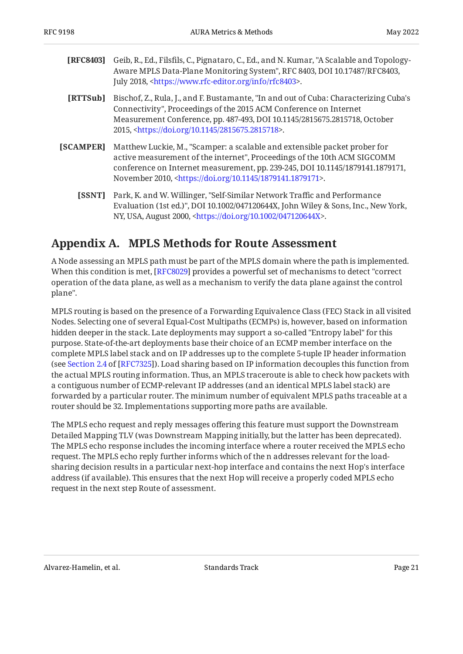<span id="page-20-4"></span>

| <b>[RFC8403]</b> Geib, R., Ed., Filsfils, C., Pignataro, C., Ed., and N. Kumar, "A Scalable and Topology- |
|-----------------------------------------------------------------------------------------------------------|
| Aware MPLS Data-Plane Monitoring System", RFC 8403, DOI 10.17487/RFC8403,                                 |
| July 2018, <https: info="" rfc8403="" www.rfc-editor.org="">.</https:>                                    |

- <span id="page-20-2"></span>**[RTTSub]** Bischof, Z., Rula, J., and F. Bustamante, "In and out of Cuba: Characterizing Cuba's Connectivity", Proceedings of the 2015 ACM Conference on Internet Measurement Conference, pp. 487-493, DOI 10.1145/2815675.2815718, October 2015, <https://doi.org/10.1145/2815675.2815718>.
- <span id="page-20-1"></span>**[SCAMPER]** Matthew Luckie, M., "Scamper: a scalable and extensible packet prober for active measurement of the internet", Proceedings of the 10th ACM SIGCOMM , , conference on Internet measurement, pp. 239-245 DOI 10.1145/1879141.1879171 November 2010, <https://doi.org/10.1145/1879141.1879171>.
	- **[SSNT]** Park, K. and W. Willinger, "Self-Similar Network Traffic and Performance Evaluation (1st ed.)", DOI 10.1002/047120644X, John Wiley & Sons, Inc., New York, NY, USA, August 2000, <https://doi.org/10.1002/047120644X>.

# <span id="page-20-3"></span><span id="page-20-0"></span>**[Appendix A. MPLS Methods for Route Assessment](#page-20-0)**

A Node assessing an MPLS path must be part of the MPLS domain where the path is implemented. When this condition is met, [[RFC8029\]](#page-18-10) provides a powerful set of mechanisms to detect "correct operation of the data plane, as well as a mechanism to verify the data plane against the control plane".

MPLS routing is based on the presence of a Forwarding Equivalence Class (FEC) Stack in all visited Nodes. Selecting one of several Equal-Cost Multipaths (ECMPs) is, however, based on information hidden deeper in the stack. Late deployments may support a so-called "Entropy label" for this purpose. State-of-the-art deployments base their choice of an ECMP member interface on the complete MPLS label stack and on IP addresses up to the complete 5-tuple IP header information (seeSection 2.4 of [RFC7325]). Load sharing based on IP information decouples this function from the actual MPLS routing information. Thus, an MPLS traceroute is able to check how packets with a contiguous number of ECMP-relevant IP addresses (and an identical MPLS label stack) are forwarded by a particular router. The minimum number of equivalent MPLS paths traceable at a router should be 32. Implementations supporting more paths are available.

The MPLS echo request and reply messages offering this feature must support the Downstream Detailed Mapping TLV (was Downstream Mapping initially, but the latter has been deprecated). The MPLS echo response includes the incoming interface where a router received the MPLS echo request. The MPLS echo reply further informs which of the n addresses relevant for the loadsharing decision results in a particular next-hop interface and contains the next Hop's interface address (if available). This ensures that the next Hop will receive a properly coded MPLS echo request in the next step Route of assessment.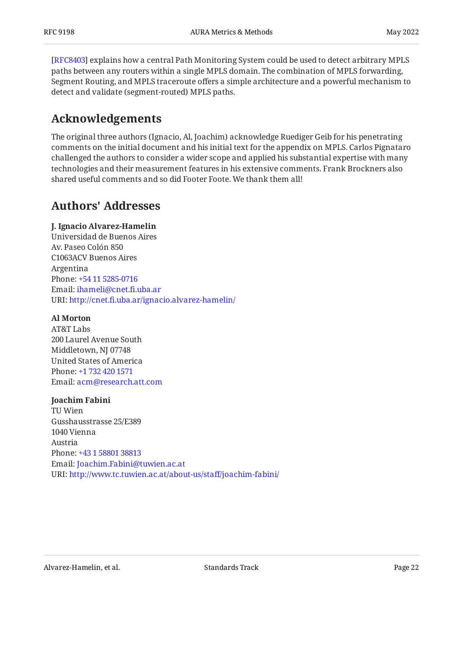[[RFC8403\]](#page-20-4) explains how a central Path Monitoring System could be used to detect arbitrary MPLS paths between any routers within a single MPLS domain. The combination of MPLS forwarding, Segment Routing, and MPLS traceroute offers a simple architecture and a powerful mechanism to detect and validate (segment-routed) MPLS paths.

# <span id="page-21-0"></span>**[Acknowledgements](#page-21-0)**

The original three authors (Ignacio, Al, Joachim) acknowledge Ruediger Geib for his penetrating comments on the initial document and his initial text for the appendix on MPLS. Carlos Pignataro challenged the authors to consider a wider scope and applied his substantial expertise with many technologies and their measurement features in his extensive comments. Frank Brockners also shared useful comments and so did Footer Foote. We thank them all!

### <span id="page-21-1"></span>**[Authors' Addresses](#page-21-1)**

#### **J. Ignacio Alvarez-Hamelin**

Universidad de Buenos Aires Av. Paseo Colón 850 C1063ACV Buenos Aires Argentina Phone: [+54 11 5285-0716](tel:+54%2011%205285-0716) Email: [ihameli@cnet.](mailto:ihameli@cnet.fi.uba.ar)fi.uba.ar URI: http://cnet.fi[.uba.ar/ignacio.alvarez-hamelin/](http://cnet.fi.uba.ar/ignacio.alvarez-hamelin/)

#### **Al Morton**

AT&T Labs 200 Laurel Avenue South Middletown, NJ 07748 United States of America Phone: [+1 732 420 1571](tel:+1%20732%20420%201571) Email: [acm@research.att.com](mailto:acm@research.att.com)

#### **Joachim Fabini**

TU Wien Gusshausstrasse 25/E389 1040 Vienna Austria Phone: [+43 1 58801 38813](tel:+43%201%2058801%2038813) Email: [Joachim.Fabini@tuwien.ac.at](mailto:Joachim.Fabini@tuwien.ac.at) URI: [http://www.tc.tuwien.ac.at/about-us/sta](http://www.tc.tuwien.ac.at/about-us/staff/joachim-fabini/)ff/joachim-fabini/